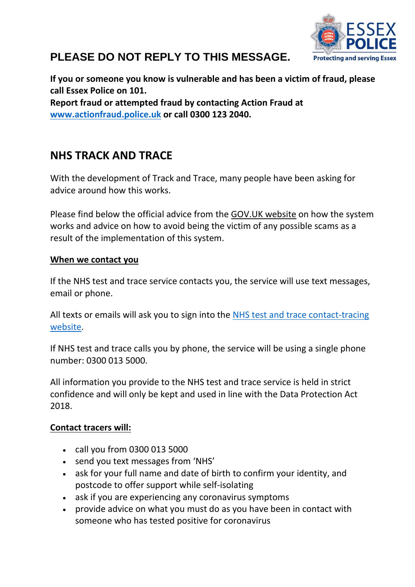

# **PLEASE DO NOT REPLY TO THIS MESSAGE.**

**If you or someone you know is vulnerable and has been a victim of fraud, please call Essex Police on 101. Report fraud or attempted fraud by contacting Action Fraud at [www.actionfraud.police.uk](http://www.actionfraud.police.uk/) or call 0300 123 2040.**

# **NHS TRACK AND TRACE**

With the development of Track and Trace, many people have been asking for advice around how this works.

Please find below the official advice from the GOV.UK website on how the system works and advice on how to avoid being the victim of any possible scams as a result of the implementation of this system.

### **When we contact you**

If the NHS test and trace service contacts you, the service will use text messages, email or phone.

All texts or emails will ask you to sign into the [NHS test and trace contact-tracing](https://eur03.safelinks.protection.outlook.com/?url=https%3A%2F%2Fcontact-tracing.phe.gov.uk%2F&data=02%7C01%7CChloe.Rudd%40essex.police.uk%7C29f48372bde0456e189508d803bbb3ff%7Cf31b07f09cf940db964d6ff986a97e3d%7C0%7C0%7C637263451991984473&sdata=m7XOEjy4cGNlPV6Q3VfSFE9vtC0tTX0MIDHgrvUR%2FYk%3D&reserved=0)  [website.](https://eur03.safelinks.protection.outlook.com/?url=https%3A%2F%2Fcontact-tracing.phe.gov.uk%2F&data=02%7C01%7CChloe.Rudd%40essex.police.uk%7C29f48372bde0456e189508d803bbb3ff%7Cf31b07f09cf940db964d6ff986a97e3d%7C0%7C0%7C637263451991984473&sdata=m7XOEjy4cGNlPV6Q3VfSFE9vtC0tTX0MIDHgrvUR%2FYk%3D&reserved=0)

If NHS test and trace calls you by phone, the service will be using a single phone number: 0300 013 5000.

All information you provide to the NHS test and trace service is held in strict confidence and will only be kept and used in line with the Data Protection Act 2018.

## **Contact tracers will:**

- call you from 0300 013 5000
- send you text messages from 'NHS'
- ask for your full name and date of birth to confirm your identity, and postcode to offer support while self-isolating
- ask if you are experiencing any coronavirus symptoms
- provide advice on what you must do as you have been in contact with someone who has tested positive for coronavirus